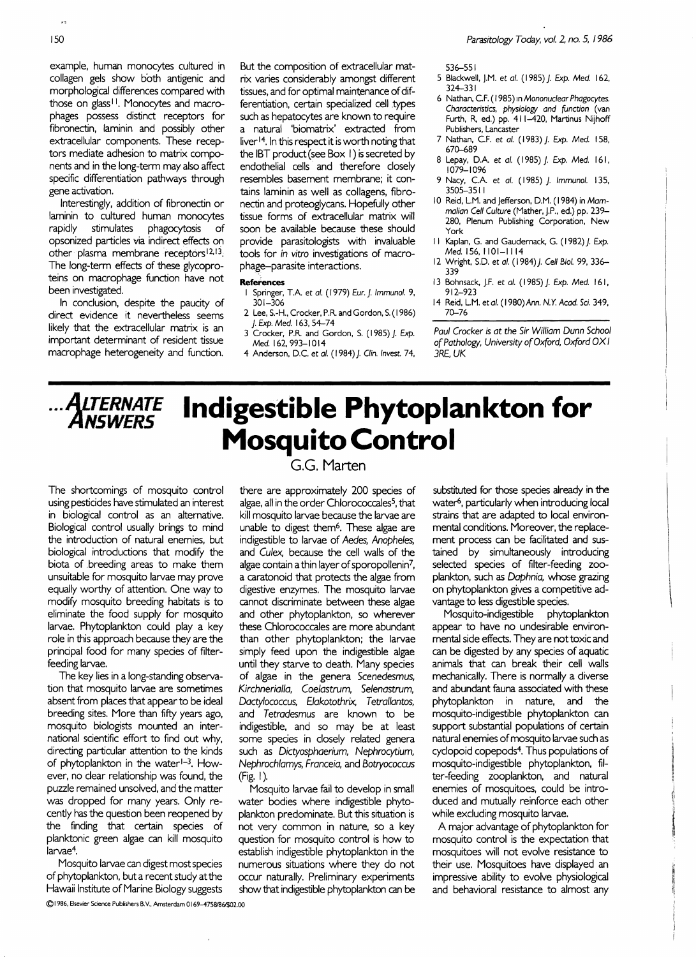example, human monocytes cultured in collagen gels show both antigenic and morphological differences compared with those on glass<sup>11</sup>. Monocytes and macrophages possess distinct receptors for fibronectin, laminin and possibly other extracellular components. These receptors mediate adhesion to matrix components and in the long-term may also affect specific differentiation pathways through gene activation.

Interestingly, addition of fibronectin or laminin to cultured human monocytes rapidly stimulates phagocytosis of opsonized particles via indirect effects on other plasma membrane receptors<sup>12,13</sup>. The long-term effects of these glycoproteins on macrophage function have not been investigated.

In conclusion, despite the paucity of direct evidence it nevertheless seems likely that the extracellular matrix is an important determinant of resident tissue macrophage heterogeneity and function.

But the composition of extracellular matrix varies considerably amongst different tissues, and for optimal maintenance of differentiation, certain specialized cell types such as hepatocytes are known to require a natural 'biomatrix' extracted from liver 14. In this respect it is worth noting that the IBT product (see Box I) is secreted by endothelial cells and therefore closely resembles basement membrane; it contains laminin as well as collagens, fibronectin and proteoglycans. Hopefully other tissue forms of extracellular matrix will soon be available because these should provide parasitologists with invaluable tools for in vitro investigations of macrophage-parasite interactions.

### **References**

- Springer, T.A. et al. (1979) Eur. *J. Immunol.* 9, 301-306
- 2 Lee. S.-H., Crocker, P.R. and Gordon, S. (1986) *j. Exp.* Med. 163, 54-74 3 Crocker, P.R. and Gordon, S. (1985) J. Exp.
- Med. 162,993-1014 4 Anderson, D.C. et al. (1984) J. Clin. Invest. 74,

536-551

- 5 Blackwell, J.M. et 01. (1985) J. *Exp.* Med. I62. 324-331
- 6 Nathan, C.F. (1985) In Mononuclear Phagocytes. Characteristics, physiology and function (van Furth, R, ed.) pp. 41 1-420, Martinus Nijhoff Publishers, Lancaster
- 7 Nathan, C.F. et 01. (1983) J. *Exp.* Med. I58, 670-689
- 8 Lepay, D.A. et 01. (1985) J. *Exp.* Med. 161, 1079-1096
- 9 Nacy, C.A. et al. (1985) J. Immunol. 135, 3505--3511
- 10 Reid, L.M. and Jefferson, D.M. (1984) in Mammalian Cell Culture (Mather, J.P., ed.) pp. 239 280, Plenum Publishing Corporation, New York
- I I Kaplan, G. and Gaudernack, G. (1982) J. *Exp.*  Med. 156, 1101-1114
- 12 Wright, S.D. et 01. (1984) *j.* Cell Bioi. 99, 336 339
- 13 Bohnsack, J.F. et al. (1985) J. Exp. Med. 161, 912-923
- 14 Reid, L.M. etal. (I 980) Ann. *N.Y.* Acad. *Sci. 349,*  70-76

*Paul Crocker is* at *the Sir William Dunn School*  of*Pathology, University* of*Oxford, Oxford* OX *I*  3RE, UK

# ALTERNATE **Indigestible Phytoplankton for Mosquito Control**

The shortcomings of mosquito control using pesticides have stimulated an interest in biological control as an alternative. Biological control usually brings to mind the introduction of natural enemies, but biological introductions that modify the biota of .breeding areas to make them unsuitable for mosquito larvae may prove equally worthy of attention. One way to modify mosquito breeding habitats is to eliminate the food supply for mosquito larvae. Phytoplankton could play a key role in this approach because they are the principal food for many species of filterfeeding larvae.

The key lies in a long-standing observation that mosquito larvae are sometimes absent from places that appear to be ideal breeding sites. More than fifty years ago, mosquito biologists mounted an international scientific effort to find out why, directing particular attention to the kinds of phytoplankton in the water<sup>1-3</sup>. However, no dear relationship was found, the puzzle remained unsolved, and the matter was dropped for many years. Only recently has the question been reopened by the finding that certain species of planktonic green algae can kill mosquito larvae4.

Mosquito larvae can digest most species of phytoplankton, but a recent study at the Hawaii Institute of Marine Biology suggests

G.G. Marten

there are approximately 200 species of algae, all in the order Chlorococcales<sup>5</sup>, that kill mosquito larvae because the larvae are unable to digest them6. These algae are indigestible to larvae of Aedes, Anopheles, and Culex, because the cell walls of the algae contain a thin layer of sporopollenin<sup>7</sup>, a caratonoid that protects the algae from digestive enzymes. The mosquito larvae cannot discriminate between these algae and other phytoplankton, so wherever these Chlorococcales are more abundant than other phytoplankton; the larvae simply feed upon the indigestible algae until they starve to death. Many species of algae in the genera Scenedesmus, Kirchnerialla, Coelastrum, Selenastrum, Daety/ococcus, Elakotothrix, Tetrallantos, and Tetradesmus are known to be indigestible, and so may be at least some species in closely related genera such as Dictyosphaerium, Nephrocytium, Nephroch/amys, Franceia, and Botryococcus (Fig~ I).

Mosquito larvae fail to develop in small water bodies where indigestible phytoplankton predominate. But this situation is not very common in nature, so a key question for mosquito control is how to establish indigestible phytoplankton in the numerous situations where they do not occur naturally. Preliminary experiments show that indigestible phytoplankton can be substituted for those species already in the water6, particularly when introducing local strains that are adapted to local environmental conditions. Moreover, the replacement process can be facilitated and sustained by simuttaneously introducing selected species of filter-feeding zooplankton, such as Daphnia, whose grazing on phytoplankton gives a competitive advantage to less digestible species.

Mosquito-indigestible phytoplankton appear to have no undesirable environmental side effects. They are not toxic and can be digested by any species of aquatic animals that can break their cell walls mechanically. There is normally a diverse and abundant fauna associated with these phytoplankton in nature, and the mosquito-indigestible phytoplankton can support substantial populations of certain natural enemies of mosquito larvae such as cyclopoid copepods4. Thus populations of mosquito-indigestible phytoplankton, filter-feeding zooplankton, and natural enemies of mosquitoes, could be introduced and mutually reinforce each other while excluding mosquito larvae.

A major advantage of phytoplankton for mosquito control is the expectation that mosquitoes will not evolve resistance to their use. Mosquitoes have displayed an impressive ability to evolve physiological and behavioral resistance to almost any

150